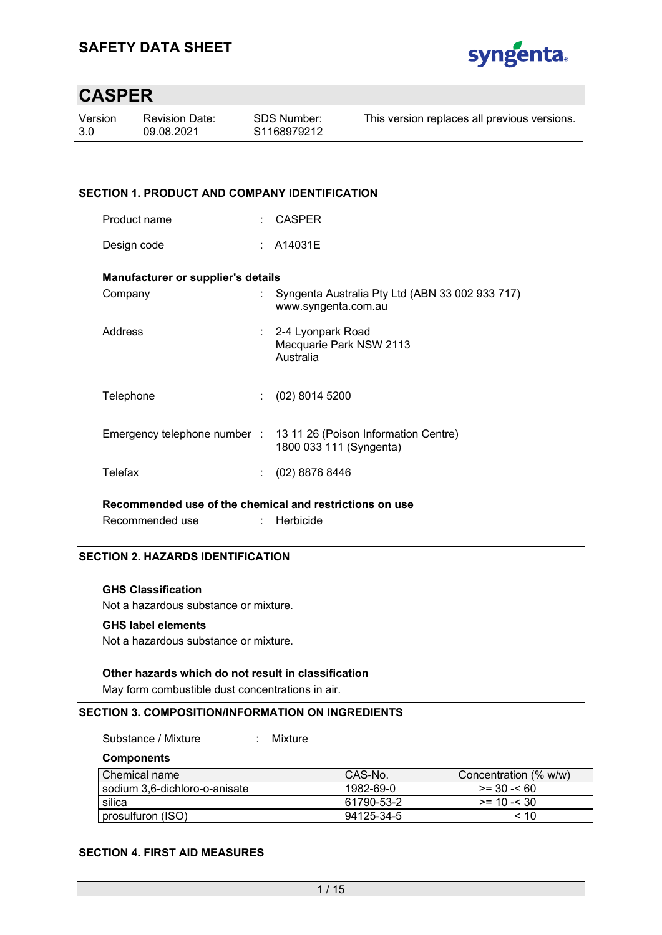

| Version | <b>Revision Date:</b> | SDS Number:             | This version replaces all previous versions. |
|---------|-----------------------|-------------------------|----------------------------------------------|
| 3.0     | 09.08.2021            | S <sub>1168979212</sub> |                                              |
|         |                       |                         |                                              |

#### **SECTION 1. PRODUCT AND COMPANY IDENTIFICATION**

| Product name | CASPER |
|--------------|--------|
|--------------|--------|

Design code : A14031E

#### **Manufacturer or supplier's details**

| Company   | Syngenta Australia Pty Ltd (ABN 33 002 933 717)<br>www.syngenta.com.au                       |
|-----------|----------------------------------------------------------------------------------------------|
| Address   | : 2-4 Lyonpark Road<br>Macquarie Park NSW 2113<br>Australia                                  |
| Telephone | $(02)$ 8014 5200                                                                             |
|           | Emergency telephone number : 13 11 26 (Poison Information Centre)<br>1800 033 111 (Syngenta) |
| Telefax   | (02) 8876 8446                                                                               |

**Recommended use of the chemical and restrictions on use** 

Recommended use : Herbicide

#### **SECTION 2. HAZARDS IDENTIFICATION**

#### **GHS Classification**

Not a hazardous substance or mixture.

#### **GHS label elements**

Not a hazardous substance or mixture.

#### **Other hazards which do not result in classification**

May form combustible dust concentrations in air.

#### **SECTION 3. COMPOSITION/INFORMATION ON INGREDIENTS**

Substance / Mixture : Mixture

**Components** 

| l Chemical name                 | CAS-No.    | Concentration (% w/w) |
|---------------------------------|------------|-----------------------|
| l sodium 3.6-dichloro-o-anisate | 1982-69-0  | $>= 30 - 60$          |
| silica                          | 61790-53-2 | $>= 10 - 30$          |
| prosulfuron (ISO)               | 94125-34-5 | < 10                  |
|                                 |            |                       |

#### **SECTION 4. FIRST AID MEASURES**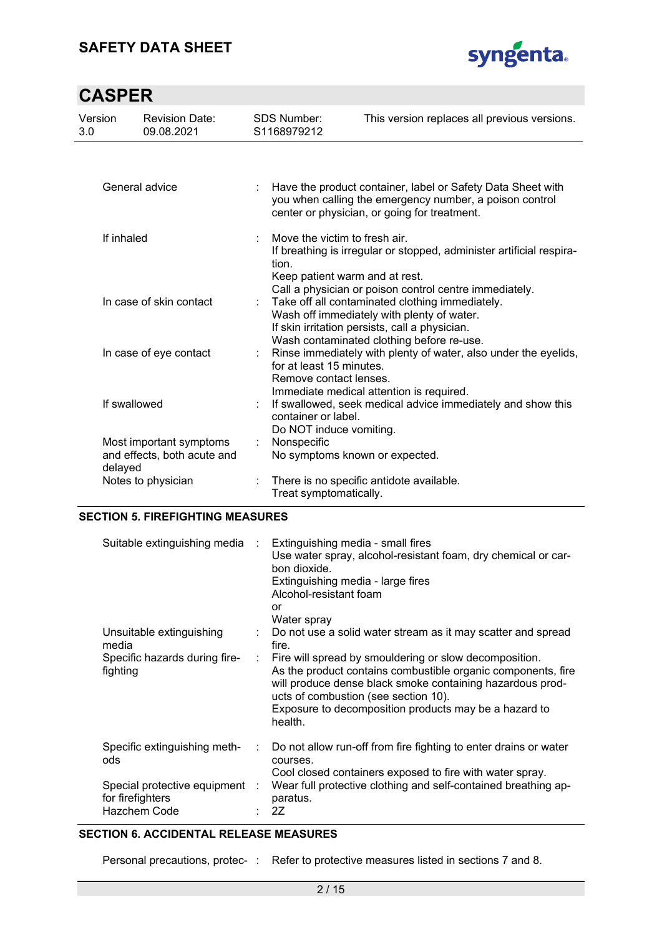### **SAFETY DATA SHEET**



# **CASPER**

| Version<br>3.0 | <b>Revision Date:</b><br>09.08.2021                               |   | <b>SDS Number:</b><br>S1168979212                                        | This version replaces all previous versions.                                                                                                                                                 |
|----------------|-------------------------------------------------------------------|---|--------------------------------------------------------------------------|----------------------------------------------------------------------------------------------------------------------------------------------------------------------------------------------|
|                |                                                                   |   |                                                                          |                                                                                                                                                                                              |
|                | General advice                                                    |   |                                                                          | Have the product container, label or Safety Data Sheet with<br>you when calling the emergency number, a poison control<br>center or physician, or going for treatment.                       |
|                | If inhaled                                                        | ÷ | Move the victim to fresh air.<br>tion.<br>Keep patient warm and at rest. | If breathing is irregular or stopped, administer artificial respira-<br>Call a physician or poison control centre immediately.                                                               |
|                | In case of skin contact                                           |   |                                                                          | Take off all contaminated clothing immediately.<br>Wash off immediately with plenty of water.<br>If skin irritation persists, call a physician.<br>Wash contaminated clothing before re-use. |
|                | In case of eye contact                                            |   | for at least 15 minutes.<br>Remove contact lenses.                       | Rinse immediately with plenty of water, also under the eyelids,<br>Immediate medical attention is required.                                                                                  |
|                | If swallowed                                                      |   | container or label.<br>Do NOT induce vomiting.                           | If swallowed, seek medical advice immediately and show this                                                                                                                                  |
|                | Most important symptoms<br>and effects, both acute and<br>delayed |   | Nonspecific<br>No symptoms known or expected.                            |                                                                                                                                                                                              |
|                | Notes to physician                                                | ÷ | Treat symptomatically.                                                   | There is no specific antidote available.                                                                                                                                                     |

#### **SECTION 5. FIREFIGHTING MEASURES**

| Suitable extinguishing media :            |    | Extinguishing media - small fires<br>Use water spray, alcohol-resistant foam, dry chemical or car-<br>bon dioxide.<br>Extinguishing media - large fires<br>Alcohol-resistant foam<br>or<br>Water spray                                                                                          |
|-------------------------------------------|----|-------------------------------------------------------------------------------------------------------------------------------------------------------------------------------------------------------------------------------------------------------------------------------------------------|
| Unsuitable extinguishing<br>media         | ÷. | Do not use a solid water stream as it may scatter and spread<br>fire.                                                                                                                                                                                                                           |
| Specific hazards during fire-<br>fighting |    | Fire will spread by smouldering or slow decomposition.<br>As the product contains combustible organic components, fire<br>will produce dense black smoke containing hazardous prod-<br>ucts of combustion (see section 10).<br>Exposure to decomposition products may be a hazard to<br>health. |
| Specific extinguishing meth-<br>ods       |    | Do not allow run-off from fire fighting to enter drains or water<br>courses.                                                                                                                                                                                                                    |
| Special protective equipment :            |    | Cool closed containers exposed to fire with water spray.<br>Wear full protective clothing and self-contained breathing ap-                                                                                                                                                                      |
| for firefighters                          |    | paratus.                                                                                                                                                                                                                                                                                        |
| Hazchem Code                              |    | 2Z                                                                                                                                                                                                                                                                                              |

#### **SECTION 6. ACCIDENTAL RELEASE MEASURES**

Personal precautions, protec- : Refer to protective measures listed in sections 7 and 8.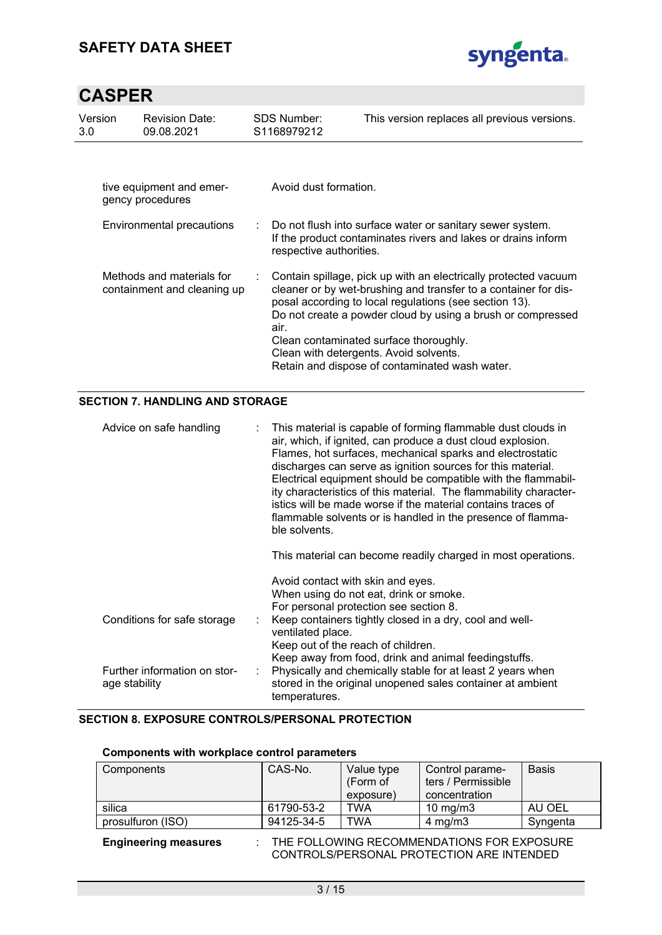

| Version<br>3.0 | Revision Date:<br>09.08.2021                             |  | SDS Number:<br>S <sub>1168979212</sub> | This version replaces all previous versions.                                                                                                                                                                                                                                                                                                                                                      |
|----------------|----------------------------------------------------------|--|----------------------------------------|---------------------------------------------------------------------------------------------------------------------------------------------------------------------------------------------------------------------------------------------------------------------------------------------------------------------------------------------------------------------------------------------------|
|                | tive equipment and emer-<br>gency procedures             |  | Avoid dust formation.                  |                                                                                                                                                                                                                                                                                                                                                                                                   |
|                | Environmental precautions                                |  | respective authorities.                | : Do not flush into surface water or sanitary sewer system.<br>If the product contaminates rivers and lakes or drains inform                                                                                                                                                                                                                                                                      |
|                | Methods and materials for<br>containment and cleaning up |  | air.                                   | Contain spillage, pick up with an electrically protected vacuum<br>cleaner or by wet-brushing and transfer to a container for dis-<br>posal according to local regulations (see section 13).<br>Do not create a powder cloud by using a brush or compressed<br>Clean contaminated surface thoroughly.<br>Clean with detergents. Avoid solvents.<br>Retain and dispose of contaminated wash water. |

#### **SECTION 7. HANDLING AND STORAGE**

| Advice on safe handling                       | This material is capable of forming flammable dust clouds in<br>air, which, if ignited, can produce a dust cloud explosion.<br>Flames, hot surfaces, mechanical sparks and electrostatic<br>discharges can serve as ignition sources for this material.<br>Electrical equipment should be compatible with the flammabil-<br>ity characteristics of this material. The flammability character-<br>istics will be made worse if the material contains traces of<br>flammable solvents or is handled in the presence of flamma-<br>ble solvents. |
|-----------------------------------------------|-----------------------------------------------------------------------------------------------------------------------------------------------------------------------------------------------------------------------------------------------------------------------------------------------------------------------------------------------------------------------------------------------------------------------------------------------------------------------------------------------------------------------------------------------|
|                                               | This material can become readily charged in most operations.                                                                                                                                                                                                                                                                                                                                                                                                                                                                                  |
|                                               | Avoid contact with skin and eyes.<br>When using do not eat, drink or smoke.<br>For personal protection see section 8.                                                                                                                                                                                                                                                                                                                                                                                                                         |
| Conditions for safe storage                   | Keep containers tightly closed in a dry, cool and well-<br>ventilated place.                                                                                                                                                                                                                                                                                                                                                                                                                                                                  |
|                                               | Keep out of the reach of children.<br>Keep away from food, drink and animal feedingstuffs.                                                                                                                                                                                                                                                                                                                                                                                                                                                    |
| Further information on stor-<br>age stability | Physically and chemically stable for at least 2 years when<br>stored in the original unopened sales container at ambient<br>temperatures.                                                                                                                                                                                                                                                                                                                                                                                                     |

#### **SECTION 8. EXPOSURE CONTROLS/PERSONAL PROTECTION**

#### **Components with workplace control parameters**

| Components        | CAS-No.    | Value type<br>(Form of<br>exposure) | Control parame-<br>ters / Permissible<br>concentration | <b>Basis</b> |
|-------------------|------------|-------------------------------------|--------------------------------------------------------|--------------|
| silica            | 61790-53-2 | <b>TWA</b>                          | 10 mg/m $3$                                            | AU OEL       |
| prosulfuron (ISO) | 94125-34-5 | TWA                                 | $4 \text{ ma/m}$ 3                                     | Syngenta     |

**Engineering measures** : THE FOLLOWING RECOMMENDATIONS FOR EXPOSURE CONTROLS/PERSONAL PROTECTION ARE INTENDED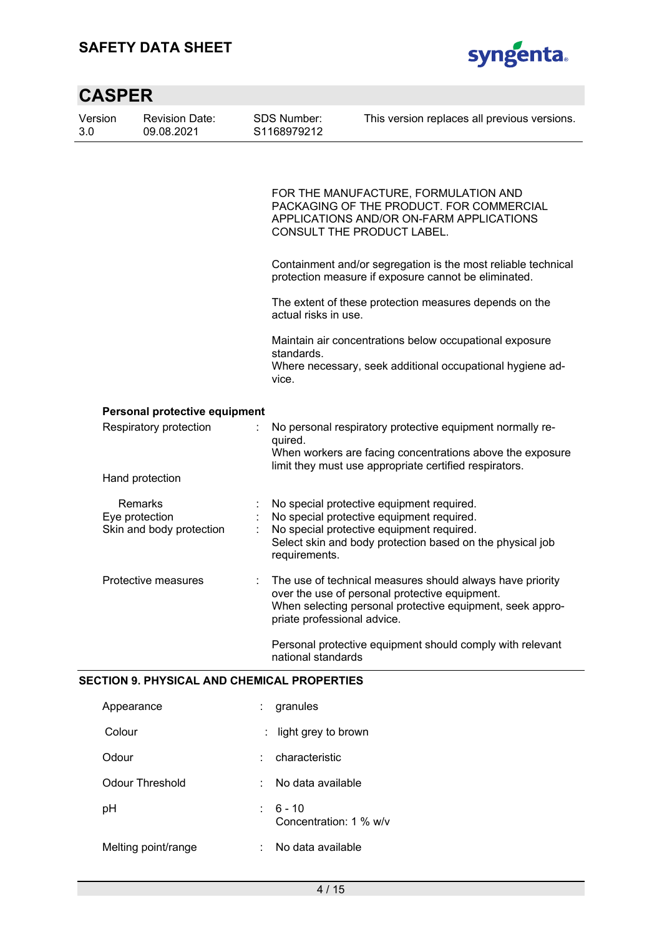### **SAFETY DATA SHEET**



| <b>CASPER</b>  |                                                       |                             |                                                                                                                                                                                                                             |
|----------------|-------------------------------------------------------|-----------------------------|-----------------------------------------------------------------------------------------------------------------------------------------------------------------------------------------------------------------------------|
| Version<br>3.0 | <b>Revision Date:</b><br>09.08.2021                   | SDS Number:<br>S1168979212  | This version replaces all previous versions.                                                                                                                                                                                |
|                |                                                       |                             | FOR THE MANUFACTURE, FORMULATION AND<br>PACKAGING OF THE PRODUCT. FOR COMMERCIAL<br>APPLICATIONS AND/OR ON-FARM APPLICATIONS<br>CONSULT THE PRODUCT LABEL.<br>Containment and/or segregation is the most reliable technical |
|                |                                                       |                             | protection measure if exposure cannot be eliminated.<br>The extent of these protection measures depends on the                                                                                                              |
|                |                                                       | actual risks in use.        |                                                                                                                                                                                                                             |
|                |                                                       | standards.<br>vice.         | Maintain air concentrations below occupational exposure<br>Where necessary, seek additional occupational hygiene ad-                                                                                                        |
|                | Personal protective equipment                         |                             |                                                                                                                                                                                                                             |
|                | Respiratory protection                                | quired.                     | No personal respiratory protective equipment normally re-<br>When workers are facing concentrations above the exposure<br>limit they must use appropriate certified respirators.                                            |
|                | Hand protection                                       |                             |                                                                                                                                                                                                                             |
|                | Remarks<br>Eye protection<br>Skin and body protection | requirements.               | No special protective equipment required.<br>No special protective equipment required.<br>No special protective equipment required.<br>Select skin and body protection based on the physical job                            |
|                | Protective measures                                   | priate professional advice. | The use of technical measures should always have priority<br>over the use of personal protective equipment.<br>When selecting personal protective equipment, seek appro-                                                    |
|                |                                                       | national standards          | Personal protective equipment should comply with relevant                                                                                                                                                                   |

#### **SECTION 9. PHYSICAL AND CHEMICAL PROPERTIES**

| Appearance             | granules<br>t.                           |  |
|------------------------|------------------------------------------|--|
| Colour                 | light grey to brown                      |  |
| Odour                  | characteristic                           |  |
| <b>Odour Threshold</b> | No data available<br>٠                   |  |
| рH                     | $6 - 10$<br>t.<br>Concentration: 1 % w/v |  |
| Melting point/range    | No data available<br>t                   |  |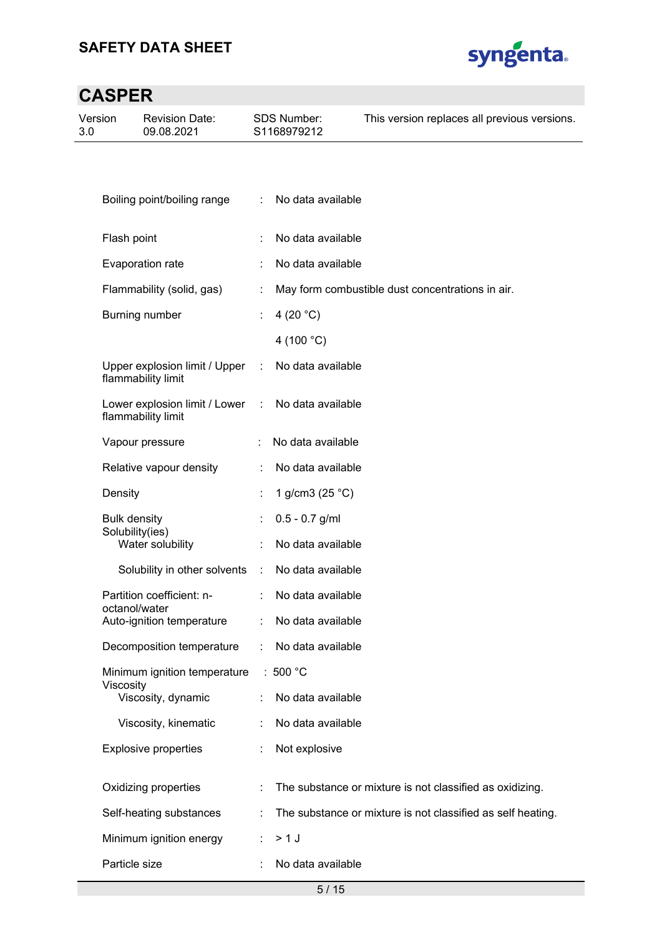

| Version<br>3.0 | <b>Revision Date:</b><br>09.08.2021                 |   | SDS Number:<br>S1168979212 | This version replaces all previous versions.                |
|----------------|-----------------------------------------------------|---|----------------------------|-------------------------------------------------------------|
|                |                                                     |   |                            |                                                             |
|                |                                                     |   |                            |                                                             |
|                | Boiling point/boiling range                         | ÷ | No data available          |                                                             |
|                | Flash point                                         |   | No data available          |                                                             |
|                | Evaporation rate                                    |   | No data available          |                                                             |
|                | Flammability (solid, gas)                           |   |                            | May form combustible dust concentrations in air.            |
|                | Burning number                                      |   | 4 (20 $°C$ )               |                                                             |
|                |                                                     |   | 4 (100 °C)                 |                                                             |
|                | Upper explosion limit / Upper<br>flammability limit | ÷ | No data available          |                                                             |
|                | Lower explosion limit / Lower<br>flammability limit | ÷ | No data available          |                                                             |
|                | Vapour pressure                                     |   | No data available          |                                                             |
|                | Relative vapour density                             |   | No data available          |                                                             |
|                | Density                                             |   | 1 g/cm3 (25 °C)            |                                                             |
|                | <b>Bulk density</b><br>Solubility(ies)              |   | $0.5 - 0.7$ g/ml           |                                                             |
|                | Water solubility                                    |   | No data available          |                                                             |
|                | Solubility in other solvents                        | ÷ | No data available          |                                                             |
|                | Partition coefficient: n-<br>octanol/water          |   | No data available          |                                                             |
|                | Auto-ignition temperature                           |   | No data available          |                                                             |
|                | Decomposition temperature                           |   | No data available          |                                                             |
|                | Minimum ignition temperature<br>Viscosity           |   | : $500 °C$                 |                                                             |
|                | Viscosity, dynamic                                  |   | No data available          |                                                             |
|                | Viscosity, kinematic                                |   | No data available          |                                                             |
|                | <b>Explosive properties</b>                         |   | Not explosive              |                                                             |
|                | Oxidizing properties                                |   |                            | The substance or mixture is not classified as oxidizing.    |
|                | Self-heating substances                             |   |                            | The substance or mixture is not classified as self heating. |
|                | Minimum ignition energy                             |   | $>1$ J                     |                                                             |
|                | Particle size                                       |   | No data available          |                                                             |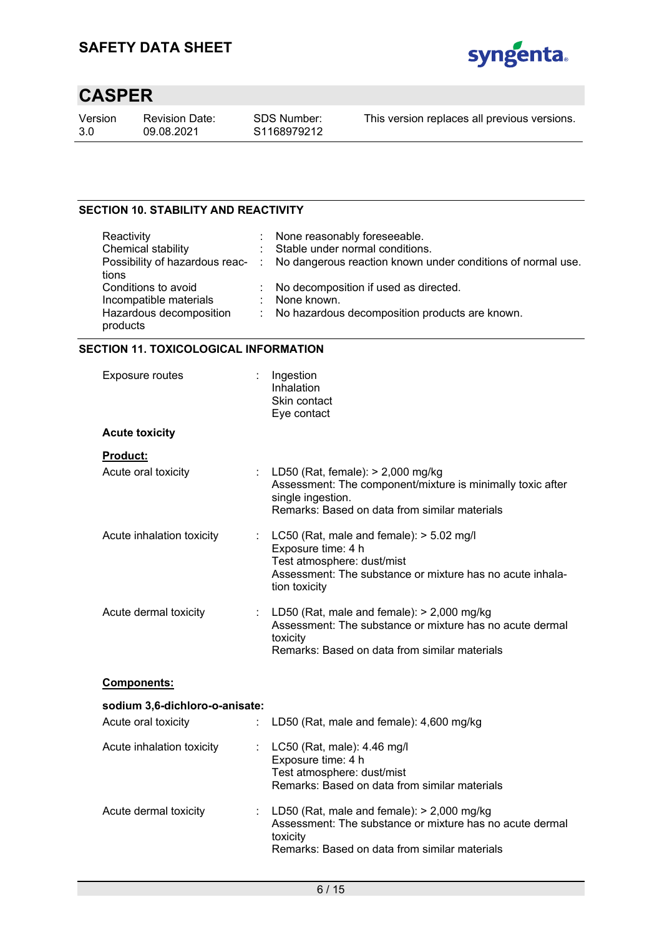

Version 3.0

Revision Date: 09.08.2021

This version replaces all previous versions.

#### **SECTION 10. STABILITY AND REACTIVITY**

| Reactivity              | : None reasonably foreseeable.                                                               |
|-------------------------|----------------------------------------------------------------------------------------------|
| Chemical stability      | : Stable under normal conditions.                                                            |
|                         | Possibility of hazardous reac- : No dangerous reaction known under conditions of normal use. |
| tions                   |                                                                                              |
| Conditions to avoid     | : No decomposition if used as directed.                                                      |
| Incompatible materials  | : None known.                                                                                |
| Hazardous decomposition | : No hazardous decomposition products are known.                                             |
| products                |                                                                                              |

#### **SECTION 11. TOXICOLOGICAL INFORMATION**

| Exposure routes                |                       | Ingestion<br>Inhalation<br>Skin contact<br>Eye contact                                                                                                                       |
|--------------------------------|-----------------------|------------------------------------------------------------------------------------------------------------------------------------------------------------------------------|
| <b>Acute toxicity</b>          |                       |                                                                                                                                                                              |
| <b>Product:</b>                |                       |                                                                                                                                                                              |
| Acute oral toxicity            |                       | LD50 (Rat, female): > 2,000 mg/kg<br>Assessment: The component/mixture is minimally toxic after<br>single ingestion.<br>Remarks: Based on data from similar materials        |
| Acute inhalation toxicity      | $\mathbb{Z}^{\times}$ | LC50 (Rat, male and female): $>$ 5.02 mg/l<br>Exposure time: 4 h<br>Test atmosphere: dust/mist<br>Assessment: The substance or mixture has no acute inhala-<br>tion toxicity |
| Acute dermal toxicity          |                       | LD50 (Rat, male and female): $>$ 2,000 mg/kg<br>Assessment: The substance or mixture has no acute dermal<br>toxicity<br>Remarks: Based on data from similar materials        |
| <b>Components:</b>             |                       |                                                                                                                                                                              |
| sodium 3,6-dichloro-o-anisate: |                       |                                                                                                                                                                              |
| Acute oral toxicity            | ÷.                    | LD50 (Rat, male and female): 4,600 mg/kg                                                                                                                                     |
| Acute inhalation toxicity      |                       | LC50 (Rat, male): 4.46 mg/l<br>Exposure time: 4 h<br>Test atmosphere: dust/mist<br>Remarks: Based on data from similar materials                                             |
| Acute dermal toxicity          | $\mathbb{Z}^{\times}$ | LD50 (Rat, male and female): $>$ 2,000 mg/kg<br>Assessment: The substance or mixture has no acute dermal<br>toxicity<br>Remarks: Based on data from similar materials        |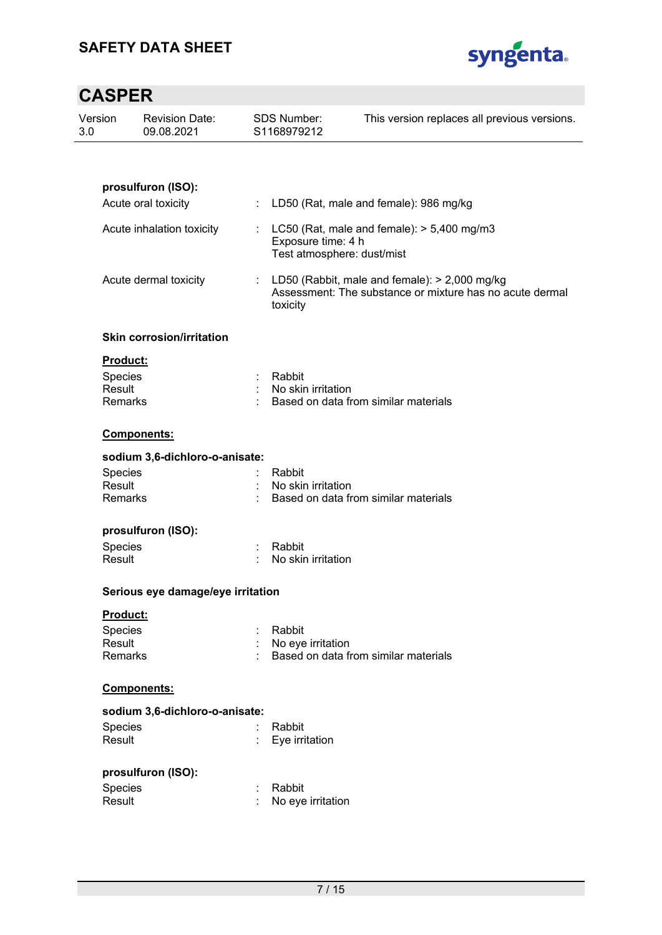

| Version<br>3.0 |                          | <b>Revision Date:</b><br>09.08.2021 |                | <b>SDS Number:</b><br>S1168979212                | This version replaces all previous versions.                                                                |
|----------------|--------------------------|-------------------------------------|----------------|--------------------------------------------------|-------------------------------------------------------------------------------------------------------------|
|                |                          |                                     |                |                                                  |                                                                                                             |
|                |                          | prosulfuron (ISO):                  |                |                                                  |                                                                                                             |
|                |                          | Acute oral toxicity                 | ÷.             |                                                  | LD50 (Rat, male and female): 986 mg/kg                                                                      |
|                |                          | Acute inhalation toxicity           |                | Exposure time: 4 h<br>Test atmosphere: dust/mist | : $LC50$ (Rat, male and female): $> 5,400$ mg/m3                                                            |
|                |                          | Acute dermal toxicity               |                | toxicity                                         | : LD50 (Rabbit, male and female): > 2,000 mg/kg<br>Assessment: The substance or mixture has no acute dermal |
|                |                          | <b>Skin corrosion/irritation</b>    |                |                                                  |                                                                                                             |
|                | Product:                 |                                     |                |                                                  |                                                                                                             |
|                | Species                  |                                     | $\mathbb{R}^n$ | Rabbit                                           |                                                                                                             |
|                | Result<br><b>Remarks</b> |                                     |                | No skin irritation                               | Based on data from similar materials                                                                        |
|                |                          |                                     |                |                                                  |                                                                                                             |
|                |                          | Components:                         |                |                                                  |                                                                                                             |
|                |                          | sodium 3,6-dichloro-o-anisate:      |                |                                                  |                                                                                                             |
|                | Species                  |                                     |                | Rabbit                                           |                                                                                                             |
|                | Result                   |                                     |                | No skin irritation                               |                                                                                                             |
|                | <b>Remarks</b>           |                                     |                |                                                  | Based on data from similar materials                                                                        |
|                |                          | prosulfuron (ISO):                  |                |                                                  |                                                                                                             |
|                | Species                  |                                     |                | Rabbit                                           |                                                                                                             |
|                | Result                   |                                     |                | No skin irritation                               |                                                                                                             |
|                |                          | Serious eye damage/eye irritation   |                |                                                  |                                                                                                             |
|                | Product:                 |                                     |                |                                                  |                                                                                                             |
|                | Species                  |                                     |                | Rabbit                                           |                                                                                                             |
|                | Result                   |                                     |                | No eye irritation                                |                                                                                                             |
|                | Remarks                  |                                     |                |                                                  | Based on data from similar materials                                                                        |
|                |                          | Components:                         |                |                                                  |                                                                                                             |
|                |                          | sodium 3,6-dichloro-o-anisate:      |                |                                                  |                                                                                                             |
|                | Species                  |                                     |                | Rabbit                                           |                                                                                                             |
|                | Result                   |                                     |                | Eye irritation                                   |                                                                                                             |
|                |                          | prosulfuron (ISO):                  |                |                                                  |                                                                                                             |
|                | Species                  |                                     |                | Rabbit                                           |                                                                                                             |
|                | Result                   |                                     |                | No eye irritation                                |                                                                                                             |
|                |                          |                                     |                |                                                  |                                                                                                             |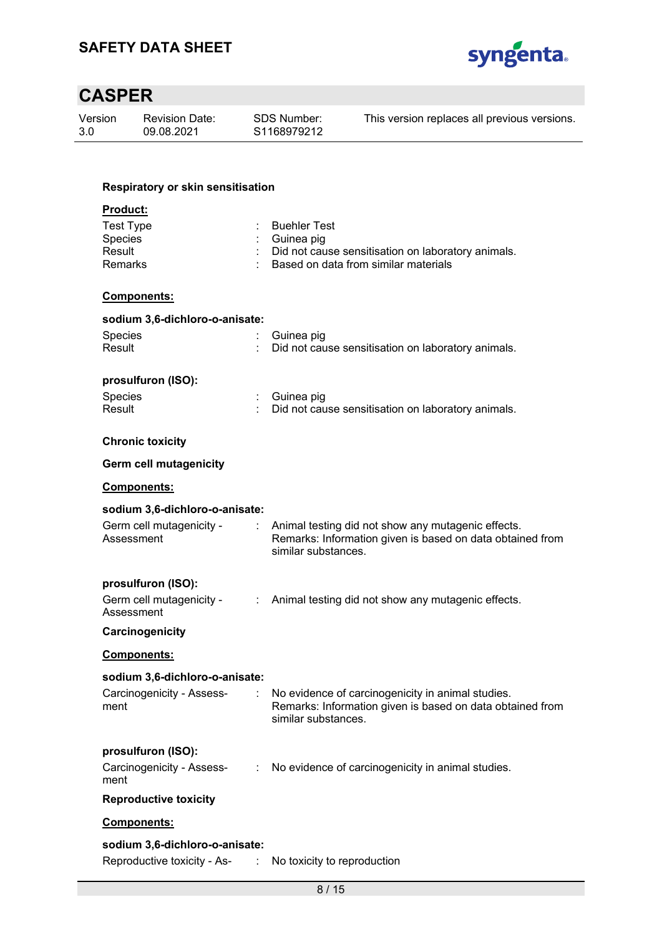

| Version<br>3.0           | <b>Revision Date:</b><br>09.08.2021    | SDS Number:<br>S1168979212  | This version replaces all previous versions.                                                                    |
|--------------------------|----------------------------------------|-----------------------------|-----------------------------------------------------------------------------------------------------------------|
|                          |                                        |                             |                                                                                                                 |
|                          | Respiratory or skin sensitisation      |                             |                                                                                                                 |
| <b>Product:</b>          |                                        |                             |                                                                                                                 |
|                          | <b>Test Type</b>                       | <b>Buehler Test</b>         |                                                                                                                 |
| Species                  |                                        | Guinea pig                  |                                                                                                                 |
| Result<br><b>Remarks</b> |                                        |                             | Did not cause sensitisation on laboratory animals.<br>Based on data from similar materials                      |
|                          | Components:                            |                             |                                                                                                                 |
|                          | sodium 3,6-dichloro-o-anisate:         |                             |                                                                                                                 |
| Species                  |                                        | Guinea pig                  |                                                                                                                 |
| Result                   |                                        |                             | Did not cause sensitisation on laboratory animals.                                                              |
|                          | prosulfuron (ISO):                     |                             |                                                                                                                 |
| Species                  |                                        | Guinea pig                  |                                                                                                                 |
| Result                   |                                        |                             | Did not cause sensitisation on laboratory animals.                                                              |
|                          | <b>Chronic toxicity</b>                |                             |                                                                                                                 |
|                          | <b>Germ cell mutagenicity</b>          |                             |                                                                                                                 |
|                          | Components:                            |                             |                                                                                                                 |
|                          | sodium 3,6-dichloro-o-anisate:         |                             |                                                                                                                 |
|                          | Germ cell mutagenicity -<br>Assessment | similar substances.         | Animal testing did not show any mutagenic effects.<br>Remarks: Information given is based on data obtained from |
|                          | prosulfuron (ISO):                     |                             |                                                                                                                 |
|                          | Germ cell mutagenicity -<br>Assessment |                             | : Animal testing did not show any mutagenic effects.                                                            |
|                          | Carcinogenicity                        |                             |                                                                                                                 |
|                          | <b>Components:</b>                     |                             |                                                                                                                 |
|                          | sodium 3,6-dichloro-o-anisate:         |                             |                                                                                                                 |
| ment                     | Carcinogenicity - Assess-              | similar substances.         | No evidence of carcinogenicity in animal studies.<br>Remarks: Information given is based on data obtained from  |
|                          | prosulfuron (ISO):                     |                             |                                                                                                                 |
| ment                     | Carcinogenicity - Assess-              | ÷                           | No evidence of carcinogenicity in animal studies.                                                               |
|                          | <b>Reproductive toxicity</b>           |                             |                                                                                                                 |
|                          | Components:                            |                             |                                                                                                                 |
|                          | sodium 3,6-dichloro-o-anisate:         |                             |                                                                                                                 |
|                          | Reproductive toxicity - As-            | No toxicity to reproduction |                                                                                                                 |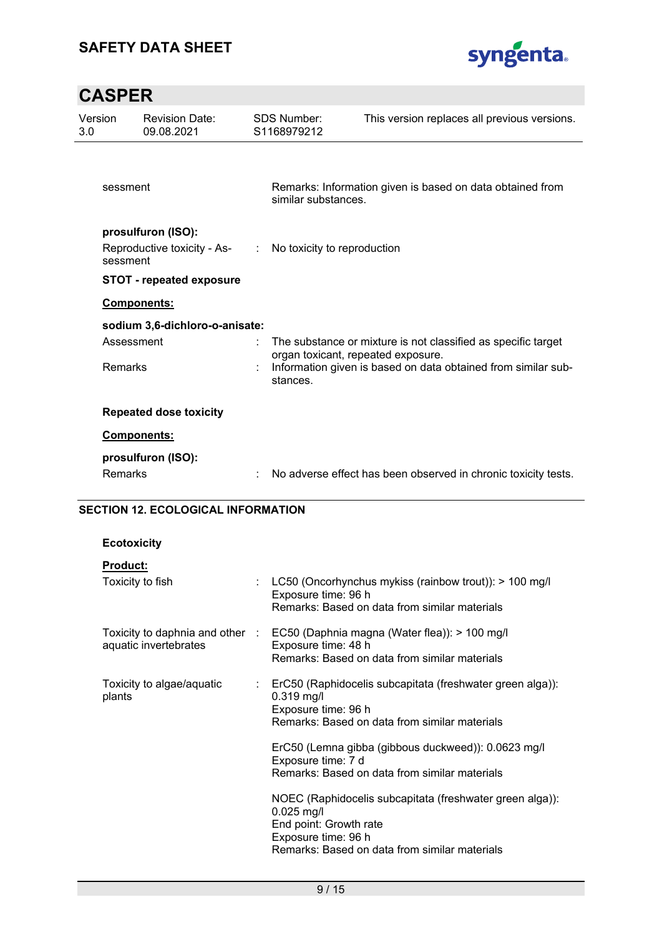

| Version<br>3.0 |                | <b>Revision Date:</b><br>09.08.2021                       | <b>SDS Number:</b><br>S1168979212  | This version replaces all previous versions.                   |
|----------------|----------------|-----------------------------------------------------------|------------------------------------|----------------------------------------------------------------|
|                |                |                                                           |                                    |                                                                |
|                | sessment       |                                                           | similar substances.                | Remarks: Information given is based on data obtained from      |
|                |                | prosulfuron (ISO):                                        |                                    |                                                                |
|                | sessment       | Reproductive toxicity - As- : No toxicity to reproduction |                                    |                                                                |
|                |                | <b>STOT - repeated exposure</b>                           |                                    |                                                                |
|                |                | Components:                                               |                                    |                                                                |
|                |                | sodium 3,6-dichloro-o-anisate:                            |                                    |                                                                |
|                | Assessment     |                                                           | organ toxicant, repeated exposure. | The substance or mixture is not classified as specific target  |
|                | <b>Remarks</b> |                                                           | stances.                           | Information given is based on data obtained from similar sub-  |
|                |                | <b>Repeated dose toxicity</b>                             |                                    |                                                                |
|                | Components:    |                                                           |                                    |                                                                |
|                |                | prosulfuron (ISO):                                        |                                    |                                                                |
|                | <b>Remarks</b> |                                                           |                                    | No adverse effect has been observed in chronic toxicity tests. |

#### **SECTION 12. ECOLOGICAL INFORMATION**

### **Ecotoxicity**

### **Product:**

| Toxicity to fish                                         | : LC50 (Oncorhynchus mykiss (rainbow trout)): $> 100$ mg/l<br>Exposure time: 96 h<br>Remarks: Based on data from similar materials                                         |
|----------------------------------------------------------|----------------------------------------------------------------------------------------------------------------------------------------------------------------------------|
| Toxicity to daphnia and other :<br>aquatic invertebrates | EC50 (Daphnia magna (Water flea)): > 100 mg/l<br>Exposure time: 48 h<br>Remarks: Based on data from similar materials                                                      |
| Toxicity to algae/aquatic<br>t.<br>plants                | ErC50 (Raphidocelis subcapitata (freshwater green alga)):<br>$0.319$ mg/l<br>Exposure time: 96 h<br>Remarks: Based on data from similar materials                          |
|                                                          | ErC50 (Lemna gibba (gibbous duckweed)): 0.0623 mg/l<br>Exposure time: 7 d<br>Remarks: Based on data from similar materials                                                 |
|                                                          | NOEC (Raphidocelis subcapitata (freshwater green alga)):<br>$0.025$ mg/l<br>End point: Growth rate<br>Exposure time: 96 h<br>Remarks: Based on data from similar materials |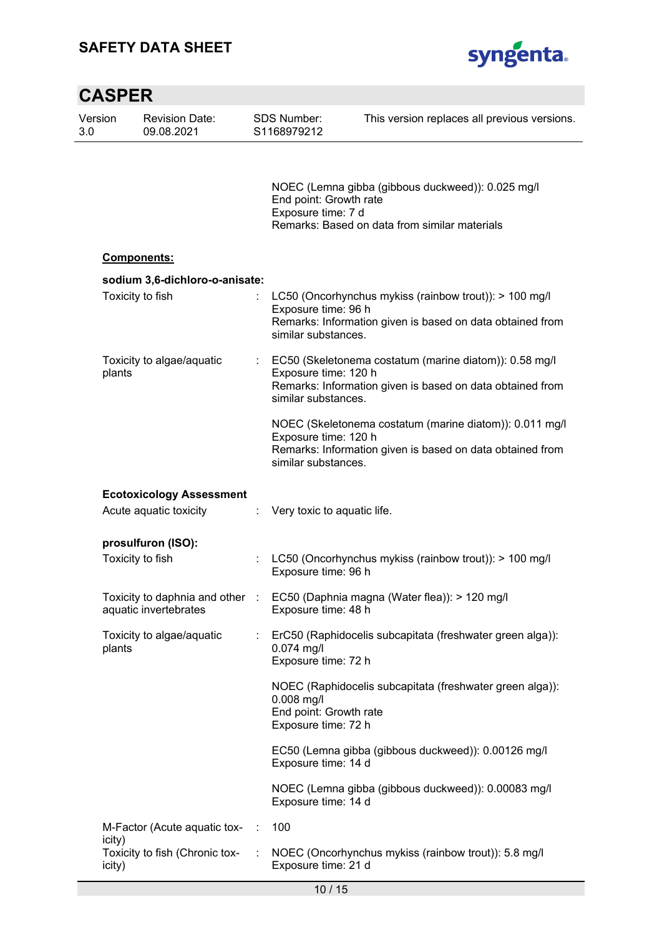

| <b>CASPER</b>  |                                                          |   |                                                               |                                                                                                                      |
|----------------|----------------------------------------------------------|---|---------------------------------------------------------------|----------------------------------------------------------------------------------------------------------------------|
| Version<br>3.0 | <b>Revision Date:</b><br>09.08.2021                      |   | <b>SDS Number:</b><br>S1168979212                             | This version replaces all previous versions.                                                                         |
|                |                                                          |   | End point: Growth rate<br>Exposure time: 7 d                  | NOEC (Lemna gibba (gibbous duckweed)): 0.025 mg/l<br>Remarks: Based on data from similar materials                   |
|                | <b>Components:</b>                                       |   |                                                               |                                                                                                                      |
|                | sodium 3,6-dichloro-o-anisate:                           |   |                                                               |                                                                                                                      |
|                | Toxicity to fish                                         |   | Exposure time: 96 h<br>similar substances.                    | LC50 (Oncorhynchus mykiss (rainbow trout)): > 100 mg/l<br>Remarks: Information given is based on data obtained from  |
| plants         | Toxicity to algae/aquatic                                | ÷ | Exposure time: 120 h<br>similar substances.                   | EC50 (Skeletonema costatum (marine diatom)): 0.58 mg/l<br>Remarks: Information given is based on data obtained from  |
|                |                                                          |   | Exposure time: 120 h<br>similar substances.                   | NOEC (Skeletonema costatum (marine diatom)): 0.011 mg/l<br>Remarks: Information given is based on data obtained from |
|                | <b>Ecotoxicology Assessment</b>                          |   |                                                               |                                                                                                                      |
|                | Acute aquatic toxicity                                   | ÷ | Very toxic to aquatic life.                                   |                                                                                                                      |
|                | prosulfuron (ISO):                                       |   |                                                               |                                                                                                                      |
|                | Toxicity to fish                                         |   | Exposure time: 96 h                                           | LC50 (Oncorhynchus mykiss (rainbow trout)): > 100 mg/l                                                               |
|                | Toxicity to daphnia and other :<br>aquatic invertebrates |   | Exposure time: 48 h                                           | EC50 (Daphnia magna (Water flea)): > 120 mg/l                                                                        |
| plants         | Toxicity to algae/aquatic                                |   | $0.074$ mg/l<br>Exposure time: 72 h                           | ErC50 (Raphidocelis subcapitata (freshwater green alga)):                                                            |
|                |                                                          |   | $0.008$ mg/l<br>End point: Growth rate<br>Exposure time: 72 h | NOEC (Raphidocelis subcapitata (freshwater green alga)):                                                             |
|                |                                                          |   | Exposure time: 14 d                                           | EC50 (Lemna gibba (gibbous duckweed)): 0.00126 mg/l                                                                  |
|                |                                                          |   | Exposure time: 14 d                                           | NOEC (Lemna gibba (gibbous duckweed)): 0.00083 mg/l                                                                  |
| icity)         | M-Factor (Acute aquatic tox-                             | ÷ | 100                                                           |                                                                                                                      |
| icity)         | Toxicity to fish (Chronic tox-                           | ÷ | Exposure time: 21 d                                           | NOEC (Oncorhynchus mykiss (rainbow trout)): 5.8 mg/l                                                                 |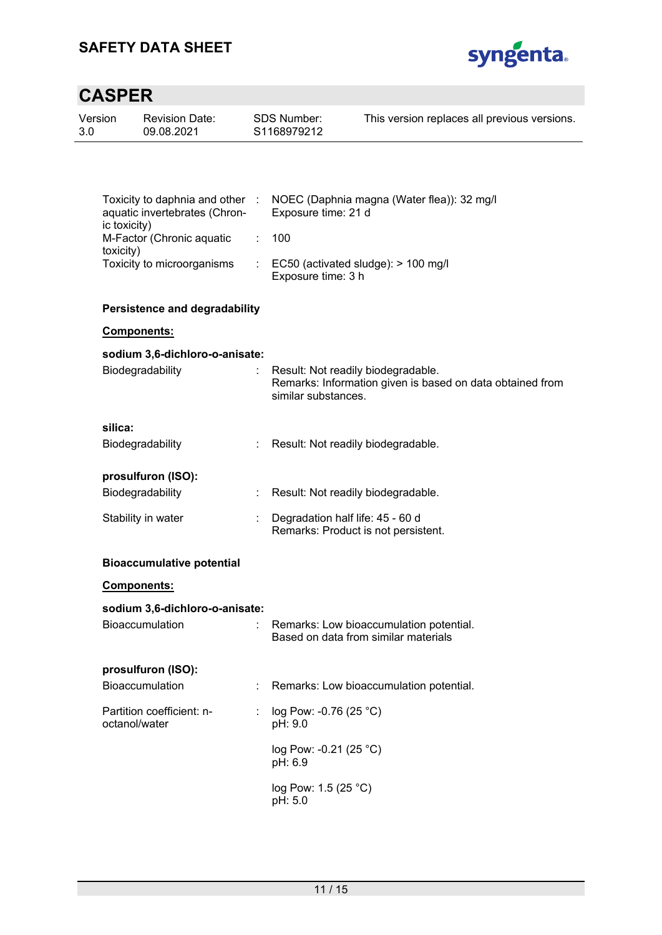

| Version<br>3.0 | <b>Revision Date:</b><br>09.08.2021                              | <b>SDS Number:</b><br>S1168979212 | This version replaces all previous versions.                                                    |
|----------------|------------------------------------------------------------------|-----------------------------------|-------------------------------------------------------------------------------------------------|
|                |                                                                  |                                   |                                                                                                 |
|                | Toxicity to daphnia and other :<br>aquatic invertebrates (Chron- | Exposure time: 21 d               | NOEC (Daphnia magna (Water flea)): 32 mg/l                                                      |
|                | ic toxicity)<br>M-Factor (Chronic aquatic                        | 100                               |                                                                                                 |
|                | toxicity)<br>Toxicity to microorganisms                          | Exposure time: 3 h                | EC50 (activated sludge): > 100 mg/l                                                             |
|                | <b>Persistence and degradability</b>                             |                                   |                                                                                                 |
|                | Components:                                                      |                                   |                                                                                                 |
|                | sodium 3,6-dichloro-o-anisate:                                   |                                   |                                                                                                 |
|                | Biodegradability                                                 | similar substances.               | Result: Not readily biodegradable.<br>Remarks: Information given is based on data obtained from |
|                | silica:                                                          |                                   |                                                                                                 |
|                | Biodegradability                                                 |                                   | Result: Not readily biodegradable.                                                              |
|                | prosulfuron (ISO):                                               |                                   |                                                                                                 |
|                | Biodegradability                                                 |                                   | Result: Not readily biodegradable.                                                              |
|                | Stability in water                                               | Degradation half life: 45 - 60 d  | Remarks: Product is not persistent.                                                             |
|                | <b>Bioaccumulative potential</b>                                 |                                   |                                                                                                 |
|                | <b>Components:</b>                                               |                                   |                                                                                                 |
|                | sodium 3,6-dichloro-o-anisate:                                   |                                   |                                                                                                 |
|                | Bioaccumulation                                                  |                                   | Remarks: Low bioaccumulation potential.<br>Based on data from similar materials                 |
|                | prosulfuron (ISO):                                               |                                   |                                                                                                 |
|                | Bioaccumulation                                                  |                                   | Remarks: Low bioaccumulation potential.                                                         |
|                | Partition coefficient: n-<br>octanol/water                       | log Pow: -0.76 (25 °C)<br>pH: 9.0 |                                                                                                 |
|                |                                                                  | log Pow: -0.21 (25 °C)<br>pH: 6.9 |                                                                                                 |
|                |                                                                  | log Pow: 1.5 (25 °C)<br>pH: 5.0   |                                                                                                 |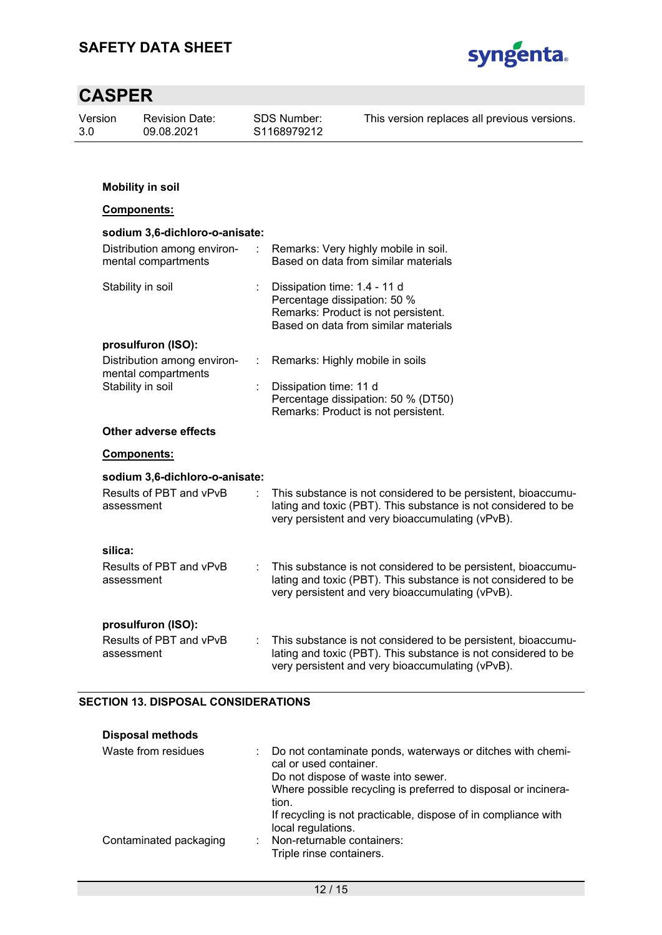

| Version<br><b>Revision Date:</b><br>3.0<br>09.08.2021 |                   | <b>SDS Number:</b><br>S1168979212                  | This version replaces all previous versions. |                              |                                                                                                                                                                                     |
|-------------------------------------------------------|-------------------|----------------------------------------------------|----------------------------------------------|------------------------------|-------------------------------------------------------------------------------------------------------------------------------------------------------------------------------------|
|                                                       |                   | <b>Mobility in soil</b>                            |                                              |                              |                                                                                                                                                                                     |
|                                                       |                   | Components:                                        |                                              |                              |                                                                                                                                                                                     |
|                                                       |                   | sodium 3,6-dichloro-o-anisate:                     |                                              |                              |                                                                                                                                                                                     |
|                                                       |                   | Distribution among environ-<br>mental compartments |                                              |                              | Remarks: Very highly mobile in soil.<br>Based on data from similar materials                                                                                                        |
|                                                       |                   | Stability in soil                                  |                                              | Dissipation time: 1.4 - 11 d | Percentage dissipation: 50 %<br>Remarks: Product is not persistent.<br>Based on data from similar materials                                                                         |
|                                                       |                   | prosulfuron (ISO):                                 |                                              |                              |                                                                                                                                                                                     |
|                                                       |                   | Distribution among environ-<br>mental compartments | t                                            |                              | Remarks: Highly mobile in soils                                                                                                                                                     |
|                                                       | Stability in soil |                                                    |                                              | Dissipation time: 11 d       | Percentage dissipation: 50 % (DT50)<br>Remarks: Product is not persistent.                                                                                                          |
|                                                       |                   | Other adverse effects                              |                                              |                              |                                                                                                                                                                                     |
|                                                       |                   | <u>Components:</u>                                 |                                              |                              |                                                                                                                                                                                     |
|                                                       |                   | sodium 3,6-dichloro-o-anisate:                     |                                              |                              |                                                                                                                                                                                     |
|                                                       | assessment        | Results of PBT and vPvB                            |                                              |                              | This substance is not considered to be persistent, bioaccumu-<br>lating and toxic (PBT). This substance is not considered to be<br>very persistent and very bioaccumulating (vPvB). |
|                                                       | silica:           |                                                    |                                              |                              |                                                                                                                                                                                     |
|                                                       | assessment        | Results of PBT and vPvB                            |                                              |                              | This substance is not considered to be persistent, bioaccumu-<br>lating and toxic (PBT). This substance is not considered to be<br>very persistent and very bioaccumulating (vPvB). |
|                                                       | assessment        | prosulfuron (ISO):<br>Results of PBT and vPvB      |                                              |                              | This substance is not considered to be persistent, bioaccumu-<br>lating and toxic (PBT). This substance is not considered to be<br>very persistent and very bioaccumulating (vPvB). |

### **SECTION 13. DISPOSAL CONSIDERATIONS**

| <b>Disposal methods</b> |                                                                                                                                                                                                          |
|-------------------------|----------------------------------------------------------------------------------------------------------------------------------------------------------------------------------------------------------|
| Waste from residues     | : Do not contaminate ponds, waterways or ditches with chemi-<br>cal or used container.<br>Do not dispose of waste into sewer.<br>Where possible recycling is preferred to disposal or incinera-<br>tion. |
| Contaminated packaging  | If recycling is not practicable, dispose of in compliance with<br>local regulations.<br>: Non-returnable containers:<br>Triple rinse containers.                                                         |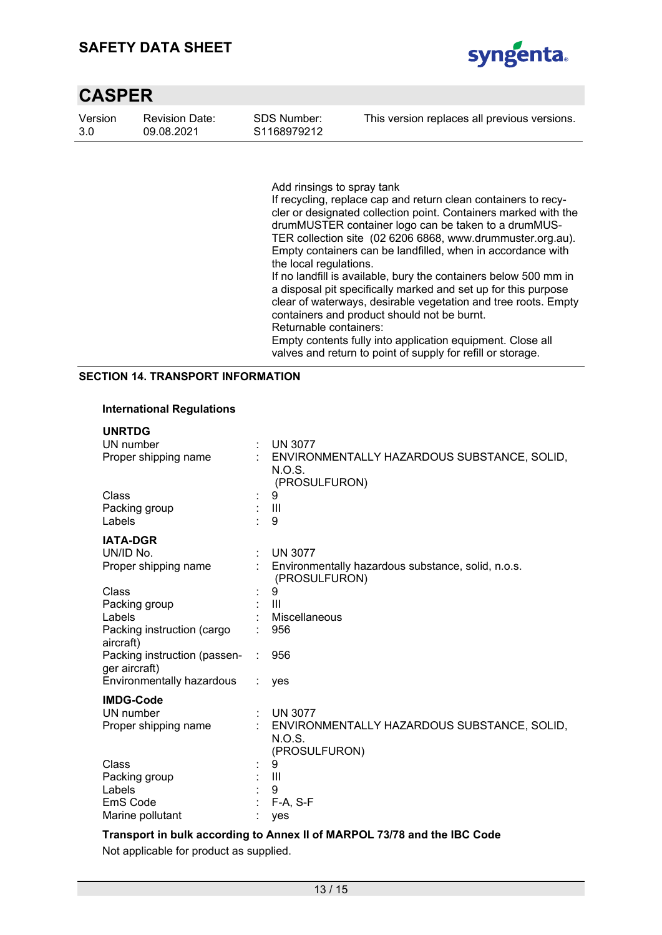### **SAFETY DATA SHEET**



| <b>CASPER</b>  |                                     |                                        |                                              |
|----------------|-------------------------------------|----------------------------------------|----------------------------------------------|
| Version<br>3.0 | <b>Revision Date:</b><br>09.08.2021 | SDS Number:<br>S <sub>1168979212</sub> | This version replaces all previous versions. |
|                |                                     |                                        |                                              |

Add rinsings to spray tank

If recycling, replace cap and return clean containers to recycler or designated collection point. Containers marked with the drumMUSTER container logo can be taken to a drumMUS-TER collection site (02 6206 6868, www.drummuster.org.au). Empty containers can be landfilled, when in accordance with the local regulations.

If no landfill is available, bury the containers below 500 mm in a disposal pit specifically marked and set up for this purpose clear of waterways, desirable vegetation and tree roots. Empty containers and product should not be burnt. Returnable containers:

Empty contents fully into application equipment. Close all valves and return to point of supply for refill or storage.

#### **SECTION 14. TRANSPORT INFORMATION**

#### **International Regulations**

| <b>UNRTDG</b><br>UN number<br>Proper shipping name |   | <b>UN 3077</b><br>ENVIRONMENTALLY HAZARDOUS SUBSTANCE, SOLID,                         |
|----------------------------------------------------|---|---------------------------------------------------------------------------------------|
| Class                                              |   | N.O.S.<br>(PROSULFURON)<br>9                                                          |
| Packing group<br>Labels                            |   | $\mathbf{III}$<br>9                                                                   |
| <b>IATA-DGR</b>                                    |   |                                                                                       |
| UN/ID No.<br>Proper shipping name                  | ÷ | <b>UN 3077</b><br>Environmentally hazardous substance, solid, n.o.s.<br>(PROSULFURON) |
| Class                                              |   | 9                                                                                     |
| Packing group                                      |   | III                                                                                   |
| Labels                                             |   | Miscellaneous                                                                         |
| Packing instruction (cargo<br>aircraft)            |   | 956                                                                                   |
| Packing instruction (passen-<br>ger aircraft)      |   | 956                                                                                   |
| Environmentally hazardous                          |   | yes                                                                                   |
| <b>IMDG-Code</b>                                   |   |                                                                                       |
| UN number                                          |   | <b>UN 3077</b>                                                                        |
| Proper shipping name                               |   | ENVIRONMENTALLY HAZARDOUS SUBSTANCE, SOLID,<br>N.O.S.<br>(PROSULFURON)                |
| Class                                              |   | 9                                                                                     |
| Packing group                                      |   | Ш                                                                                     |
| Labels                                             |   | 9                                                                                     |
| EmS Code                                           |   | $F-A, S-F$                                                                            |
| Marine pollutant                                   |   | yes                                                                                   |

#### **Transport in bulk according to Annex II of MARPOL 73/78 and the IBC Code**

Not applicable for product as supplied.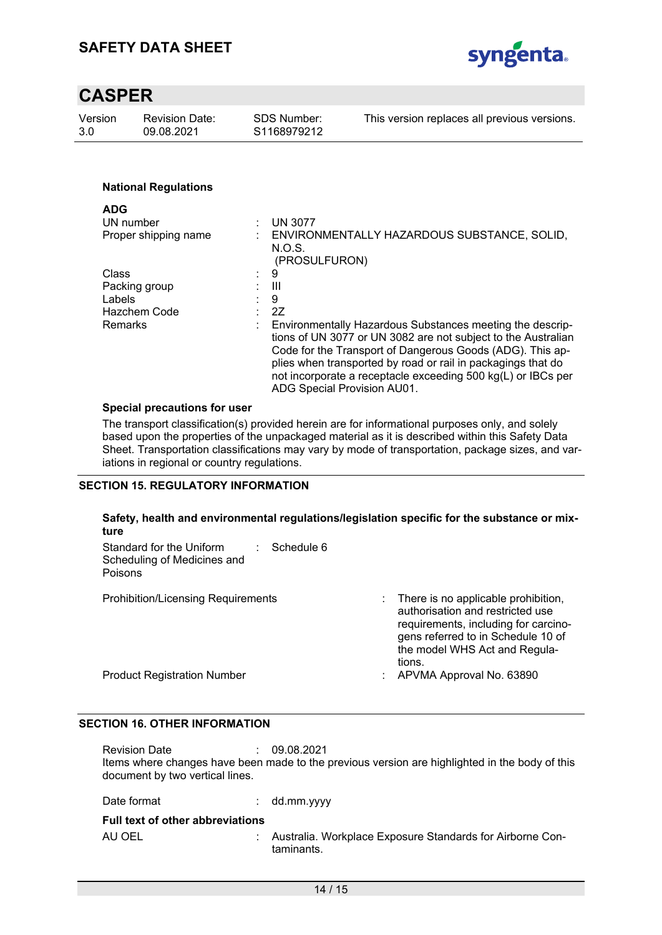

| Version<br>3.0       | <b>Revision Date:</b><br>09.08.2021 | <b>SDS Number:</b><br>S1168979212 | This version replaces all previous versions.                                                                                                                                                                                                                                                                                                           |
|----------------------|-------------------------------------|-----------------------------------|--------------------------------------------------------------------------------------------------------------------------------------------------------------------------------------------------------------------------------------------------------------------------------------------------------------------------------------------------------|
|                      |                                     |                                   |                                                                                                                                                                                                                                                                                                                                                        |
|                      | <b>National Regulations</b>         |                                   |                                                                                                                                                                                                                                                                                                                                                        |
| <b>ADG</b>           |                                     |                                   |                                                                                                                                                                                                                                                                                                                                                        |
| UN number            |                                     | <b>UN 3077</b>                    |                                                                                                                                                                                                                                                                                                                                                        |
| Proper shipping name |                                     | N.O.S.                            | ENVIRONMENTALLY HAZARDOUS SUBSTANCE, SOLID,<br>(PROSULFURON)                                                                                                                                                                                                                                                                                           |
| Class                |                                     | 9<br>÷.                           |                                                                                                                                                                                                                                                                                                                                                        |
| Packing group        |                                     | Ш                                 |                                                                                                                                                                                                                                                                                                                                                        |
| Labels               |                                     | 9                                 |                                                                                                                                                                                                                                                                                                                                                        |
| Hazchem Code         |                                     | 2Z                                |                                                                                                                                                                                                                                                                                                                                                        |
| <b>Remarks</b>       |                                     |                                   | Environmentally Hazardous Substances meeting the descrip-<br>tions of UN 3077 or UN 3082 are not subject to the Australian<br>Code for the Transport of Dangerous Goods (ADG). This ap-<br>plies when transported by road or rail in packagings that do<br>not incorporate a receptacle exceeding 500 kg(L) or IBCs per<br>ADG Special Provision AU01. |

#### **Special precautions for user**

The transport classification(s) provided herein are for informational purposes only, and solely based upon the properties of the unpackaged material as it is described within this Safety Data Sheet. Transportation classifications may vary by mode of transportation, package sizes, and variations in regional or country regulations.

#### **SECTION 15. REGULATORY INFORMATION**

| Safety, health and environmental regulations/legislation specific for the substance or mix-<br>ture |                                                                                                                                                                                                  |
|-----------------------------------------------------------------------------------------------------|--------------------------------------------------------------------------------------------------------------------------------------------------------------------------------------------------|
| Schedule 6<br>Standard for the Uniform<br>Scheduling of Medicines and<br><b>Poisons</b>             |                                                                                                                                                                                                  |
| <b>Prohibition/Licensing Requirements</b>                                                           | There is no applicable prohibition,<br>authorisation and restricted use<br>requirements, including for carcino-<br>gens referred to in Schedule 10 of<br>the model WHS Act and Regula-<br>tions. |
| <b>Product Registration Number</b>                                                                  | APVMA Approval No. 63890<br>÷                                                                                                                                                                    |

#### **SECTION 16. OTHER INFORMATION**

Revision Date : 09.08.2021 Items where changes have been made to the previous version are highlighted in the body of this document by two vertical lines.

Date format : dd.mm.yyyy

#### **Full text of other abbreviations**

AU OEL : Australia. Workplace Exposure Standards for Airborne Contaminants.